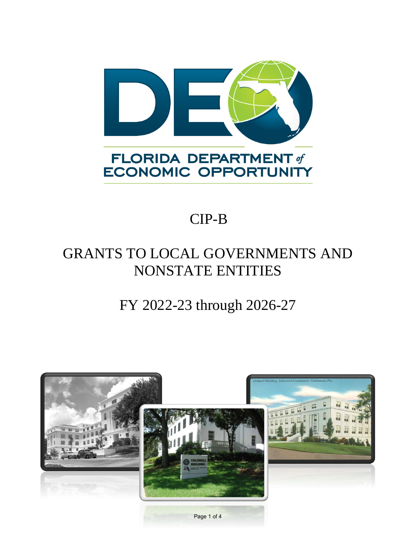

## CIP-B

# GRANTS TO LOCAL GOVERNMENTS AND NONSTATE ENTITIES

### FY 2022-23 through 2026-27



Page 1 of 4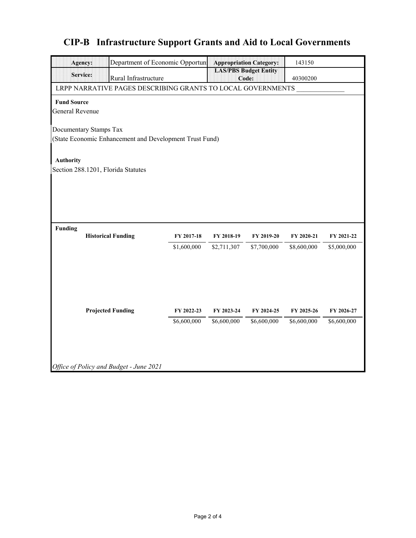| Agency:                            | Department of Economic Opportun                             |             | <b>Appropriation Category:</b><br><b>LAS/PBS Budget Entity</b><br>Code: |             | 143150      |             |
|------------------------------------|-------------------------------------------------------------|-------------|-------------------------------------------------------------------------|-------------|-------------|-------------|
| Service:                           | Rural Infrastructure                                        |             |                                                                         |             | 40300200    |             |
|                                    | LRPP NARRATIVE PAGES DESCRIBING GRANTS TO LOCAL GOVERNMENTS |             |                                                                         |             |             |             |
| <b>Fund Source</b>                 |                                                             |             |                                                                         |             |             |             |
| General Revenue                    |                                                             |             |                                                                         |             |             |             |
| Documentary Stamps Tax             |                                                             |             |                                                                         |             |             |             |
|                                    | (State Economic Enhancement and Development Trust Fund)     |             |                                                                         |             |             |             |
|                                    |                                                             |             |                                                                         |             |             |             |
| <b>Authority</b>                   |                                                             |             |                                                                         |             |             |             |
| Section 288.1201, Florida Statutes |                                                             |             |                                                                         |             |             |             |
|                                    |                                                             |             |                                                                         |             |             |             |
|                                    |                                                             |             |                                                                         |             |             |             |
|                                    |                                                             |             |                                                                         |             |             |             |
|                                    |                                                             |             |                                                                         |             |             |             |
| <b>Funding</b>                     |                                                             |             |                                                                         |             |             |             |
|                                    | <b>Historical Funding</b>                                   | FY 2017-18  | FY 2018-19                                                              | FY 2019-20  | FY 2020-21  | FY 2021-22  |
|                                    |                                                             | \$1,600,000 | \$2,711,307                                                             | \$7,700,000 | \$8,600,000 | \$5,000,000 |
|                                    |                                                             |             |                                                                         |             |             |             |
|                                    |                                                             |             |                                                                         |             |             |             |
|                                    |                                                             |             |                                                                         |             |             |             |
|                                    |                                                             |             |                                                                         |             |             |             |
|                                    | <b>Projected Funding</b>                                    | FY 2022-23  | FY 2023-24                                                              | FY 2024-25  | FY 2025-26  | FY 2026-27  |
|                                    |                                                             | \$6,600,000 | \$6,600,000                                                             | \$6,600,000 | \$6,600,000 | \$6,600,000 |
|                                    |                                                             |             |                                                                         |             |             |             |
|                                    |                                                             |             |                                                                         |             |             |             |
|                                    | Office of Policy and Budget - June 2021                     |             |                                                                         |             |             |             |

#### **CIP-B Infrastructure Support Grants and Aid to Local Governments**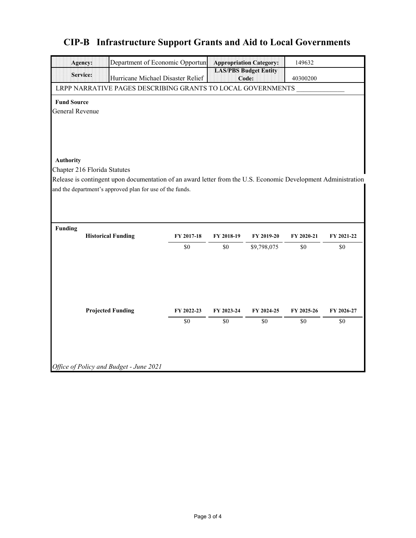#### **CIP-B Infrastructure Support Grants and Aid to Local Governments**

| Agency:                      | Department of Economic Opportun                                                                               |            | <b>Appropriation Category:</b><br><b>LAS/PBS Budget Entity</b><br>Code: |             | 149632     |            |
|------------------------------|---------------------------------------------------------------------------------------------------------------|------------|-------------------------------------------------------------------------|-------------|------------|------------|
| Service:                     | Hurricane Michael Disaster Relief                                                                             |            |                                                                         |             | 40300200   |            |
|                              | LRPP NARRATIVE PAGES DESCRIBING GRANTS TO LOCAL GOVERNMENTS                                                   |            |                                                                         |             |            |            |
| <b>Fund Source</b>           |                                                                                                               |            |                                                                         |             |            |            |
| <b>General Revenue</b>       |                                                                                                               |            |                                                                         |             |            |            |
|                              |                                                                                                               |            |                                                                         |             |            |            |
|                              |                                                                                                               |            |                                                                         |             |            |            |
|                              |                                                                                                               |            |                                                                         |             |            |            |
| <b>Authority</b>             |                                                                                                               |            |                                                                         |             |            |            |
| Chapter 216 Florida Statutes |                                                                                                               |            |                                                                         |             |            |            |
|                              | Release is contingent upon documentation of an award letter from the U.S. Economic Development Administration |            |                                                                         |             |            |            |
|                              | and the department's approved plan for use of the funds.                                                      |            |                                                                         |             |            |            |
|                              |                                                                                                               |            |                                                                         |             |            |            |
|                              |                                                                                                               |            |                                                                         |             |            |            |
| <b>Funding</b>               |                                                                                                               |            |                                                                         |             |            |            |
|                              | <b>Historical Funding</b>                                                                                     | FY 2017-18 | FY 2018-19                                                              | FY 2019-20  | FY 2020-21 | FY 2021-22 |
|                              |                                                                                                               | \$0        | \$0                                                                     | \$9,798,075 | \$0        | \$0        |
|                              |                                                                                                               |            |                                                                         |             |            |            |
|                              |                                                                                                               |            |                                                                         |             |            |            |
|                              |                                                                                                               |            |                                                                         |             |            |            |
|                              |                                                                                                               |            |                                                                         |             |            |            |
|                              | <b>Projected Funding</b>                                                                                      | FY 2022-23 | FY 2023-24                                                              | FY 2024-25  | FY 2025-26 | FY 2026-27 |
|                              |                                                                                                               | \$0        | \$0                                                                     | \$0         | \$0        | \$0        |
|                              |                                                                                                               |            |                                                                         |             |            |            |
|                              |                                                                                                               |            |                                                                         |             |            |            |
|                              |                                                                                                               |            |                                                                         |             |            |            |
|                              | Office of Policy and Budget - June 2021                                                                       |            |                                                                         |             |            |            |
|                              |                                                                                                               |            |                                                                         |             |            |            |